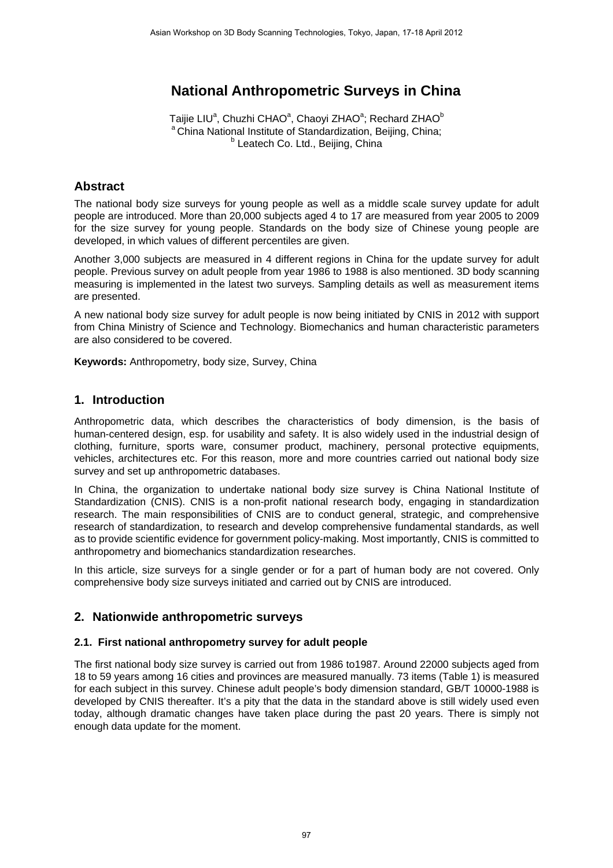# **National Anthropometric Surveys in China**

Taijie LIU<sup>a</sup>, Chuzhi CHAO<sup>a</sup>, Chaoyi ZHAO<sup>a</sup>; Rechard ZHAO<sup>b</sup> <sup>a</sup> China National Institute of Standardization, Beijing, China; <sup>b</sup> Leatech Co. Ltd., Beijing, China

## **Abstract**

The national body size surveys for young people as well as a middle scale survey update for adult people are introduced. More than 20,000 subjects aged 4 to 17 are measured from year 2005 to 2009 for the size survey for young people. Standards on the body size of Chinese young people are developed, in which values of different percentiles are given.

Another 3,000 subjects are measured in 4 different regions in China for the update survey for adult people. Previous survey on adult people from year 1986 to 1988 is also mentioned. 3D body scanning measuring is implemented in the latest two surveys. Sampling details as well as measurement items are presented.

A new national body size survey for adult people is now being initiated by CNIS in 2012 with support from China Ministry of Science and Technology. Biomechanics and human characteristic parameters are also considered to be covered.

**Keywords:** Anthropometry, body size, Survey, China

## **1. Introduction**

Anthropometric data, which describes the characteristics of body dimension, is the basis of human-centered design, esp. for usability and safety. It is also widely used in the industrial design of clothing, furniture, sports ware, consumer product, machinery, personal protective equipments, vehicles, architectures etc. For this reason, more and more countries carried out national body size survey and set up anthropometric databases.

In China, the organization to undertake national body size survey is China National Institute of Standardization (CNIS). CNIS is a non-profit national research body, engaging in standardization research. The main responsibilities of CNIS are to conduct general, strategic, and comprehensive research of standardization, to research and develop comprehensive fundamental standards, as well as to provide scientific evidence for government policy-making. Most importantly, CNIS is committed to anthropometry and biomechanics standardization researches.

In this article, size surveys for a single gender or for a part of human body are not covered. Only comprehensive body size surveys initiated and carried out by CNIS are introduced.

## **2. Nationwide anthropometric surveys**

#### **2.1. First national anthropometry survey for adult people**

The first national body size survey is carried out from 1986 to1987. Around 22000 subjects aged from 18 to 59 years among 16 cities and provinces are measured manually. 73 items (Table 1) is measured for each subject in this survey. Chinese adult people's body dimension standard, GB/T 10000-1988 is developed by CNIS thereafter. It's a pity that the data in the standard above is still widely used even today, although dramatic changes have taken place during the past 20 years. There is simply not enough data update for the moment.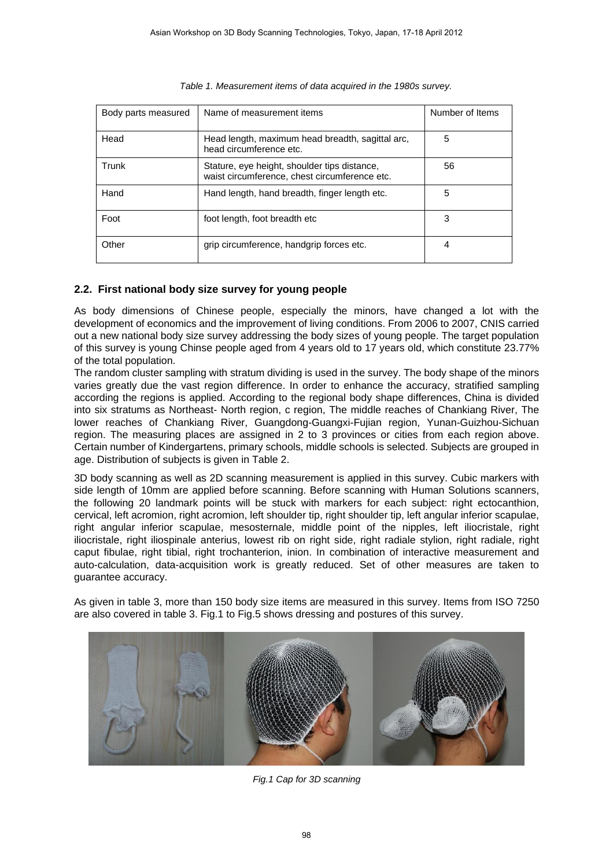| Body parts measured | Name of measurement items                                                                     | Number of Items |
|---------------------|-----------------------------------------------------------------------------------------------|-----------------|
| Head                | Head length, maximum head breadth, sagittal arc,<br>head circumference etc.                   | 5               |
| Trunk               | Stature, eye height, shoulder tips distance,<br>waist circumference, chest circumference etc. | 56              |
| Hand                | Hand length, hand breadth, finger length etc.                                                 | 5               |
| Foot                | foot length, foot breadth etc                                                                 | 3               |
| Other               | grip circumference, handgrip forces etc.                                                      | 4               |

|  |  |  |  |  |  | Table 1. Measurement items of data acquired in the 1980s survey. |  |
|--|--|--|--|--|--|------------------------------------------------------------------|--|

## **2.2. First national body size survey for young people**

As body dimensions of Chinese people, especially the minors, have changed a lot with the development of economics and the improvement of living conditions. From 2006 to 2007, CNIS carried out a new national body size survey addressing the body sizes of young people. The target population of this survey is young Chinse people aged from 4 years old to 17 years old, which constitute 23.77% of the total population.

The random cluster sampling with stratum dividing is used in the survey. The body shape of the minors varies greatly due the vast region difference. In order to enhance the accuracy, stratified sampling according the regions is applied. According to the regional body shape differences, China is divided into six stratums as Northeast- North region, c region, The middle reaches of Chankiang River, The lower reaches of Chankiang River, Guangdong-Guangxi-Fujian region, Yunan-Guizhou-Sichuan region. The measuring places are assigned in 2 to 3 provinces or cities from each region above. Certain number of Kindergartens, primary schools, middle schools is selected. Subjects are grouped in age. Distribution of subjects is given in Table 2.

3D body scanning as well as 2D scanning measurement is applied in this survey. Cubic markers with side length of 10mm are applied before scanning. Before scanning with Human Solutions scanners, the following 20 landmark points will be stuck with markers for each subject: right ectocanthion, cervical, left acromion, right acromion, left shoulder tip, right shoulder tip, left angular inferior scapulae, right angular inferior scapulae, mesosternale, middle point of the nipples, left iliocristale, right iliocristale, right iliospinale anterius, lowest rib on right side, right radiale stylion, right radiale, right caput fibulae, right tibial, right trochanterion, inion. In combination of interactive measurement and auto-calculation, data-acquisition work is greatly reduced. Set of other measures are taken to guarantee accuracy.

As given in table 3, more than 150 body size items are measured in this survey. Items from ISO 7250 are also covered in table 3. Fig.1 to Fig.5 shows dressing and postures of this survey.



*Fig.1 Cap for 3D scanning*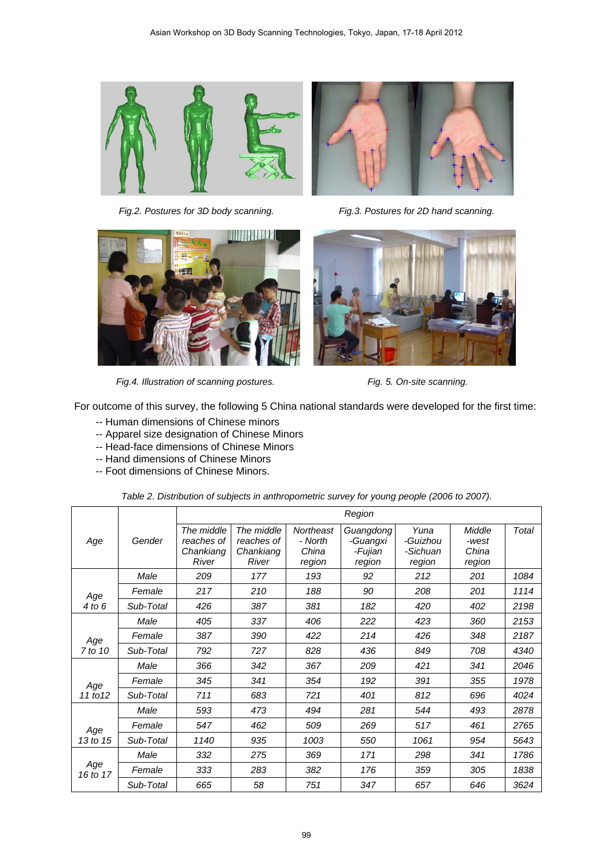



*Fig.2. Postures for 3D body scanning. Fig.3. Postures for 2D hand scanning.* 



 *Fig.4. Illustration of scanning postures. Fig. 5. On-site scanning.* 



٦

For outcome of this survey, the following 5 China national standards were developed for the first time:

- -- Human dimensions of Chinese minors
- -- Apparel size designation of Chinese Minors
- -- Head-face dimensions of Chinese Minors
- -- Hand dimensions of Chinese Minors
- -- Foot dimensions of Chinese Minors.

┯

Г

|                 |           | Region                                         |                                                |                                         |                                            |                                        |                                    |       |  |
|-----------------|-----------|------------------------------------------------|------------------------------------------------|-----------------------------------------|--------------------------------------------|----------------------------------------|------------------------------------|-------|--|
| Age             | Gender    | The middle<br>reaches of<br>Chankiang<br>River | The middle<br>reaches of<br>Chankiang<br>River | Northeast<br>- North<br>China<br>region | Guangdong<br>-Guangxi<br>-Fujian<br>region | Yuna<br>-Guizhou<br>-Sichuan<br>region | Middle<br>-west<br>China<br>region | Total |  |
|                 | Male      | 209                                            | 177                                            | 193                                     | 92                                         | 212                                    | 201                                | 1084  |  |
| Age             | Female    | 217                                            | 210                                            | 188                                     | 90                                         | 208                                    | 201                                | 1114  |  |
| 4 to 6          | Sub-Total | 426                                            | 387                                            | 381                                     | 182                                        | 420                                    | 402                                | 2198  |  |
|                 | Male      | 405                                            | 337                                            | 406                                     | 222                                        | 423                                    | 360                                | 2153  |  |
| Age<br>7 to 10  | Female    | 387                                            | 390                                            | 422                                     | 214                                        | 426                                    | 348                                | 2187  |  |
|                 | Sub-Total | 792                                            | 727                                            | 828                                     | 436                                        | 849                                    | 708                                | 4340  |  |
| Age<br>11 to 12 | Male      | 366                                            | 342                                            | 367                                     | 209                                        | 421                                    | 341                                | 2046  |  |
|                 | Female    | 345                                            | 341                                            | 354                                     | 192                                        | 391                                    | 355                                | 1978  |  |
|                 | Sub-Total | 711                                            | 683                                            | 721                                     | 401                                        | 812                                    | 696                                | 4024  |  |
| Age<br>13 to 15 | Male      | 593                                            | 473                                            | 494                                     | 281                                        | 544                                    | 493                                | 2878  |  |
|                 | Female    | 547                                            | 462                                            | 509                                     | 269                                        | 517                                    | 461                                | 2765  |  |
|                 | Sub-Total | 1140                                           | 935                                            | 1003                                    | 550                                        | 1061                                   | 954                                | 5643  |  |
| Age<br>16 to 17 | Male      | 332                                            | 275                                            | 369                                     | 171                                        | 298                                    | 341                                | 1786  |  |
|                 | Female    | 333                                            | 283                                            | 382                                     | 176                                        | 359                                    | 305                                | 1838  |  |
|                 | Sub-Total | 665                                            | 58                                             | 751                                     | 347                                        | 657                                    | 646                                | 3624  |  |

*Table 2. Distribution of subjects in anthropometric survey for young people (2006 to 2007).*